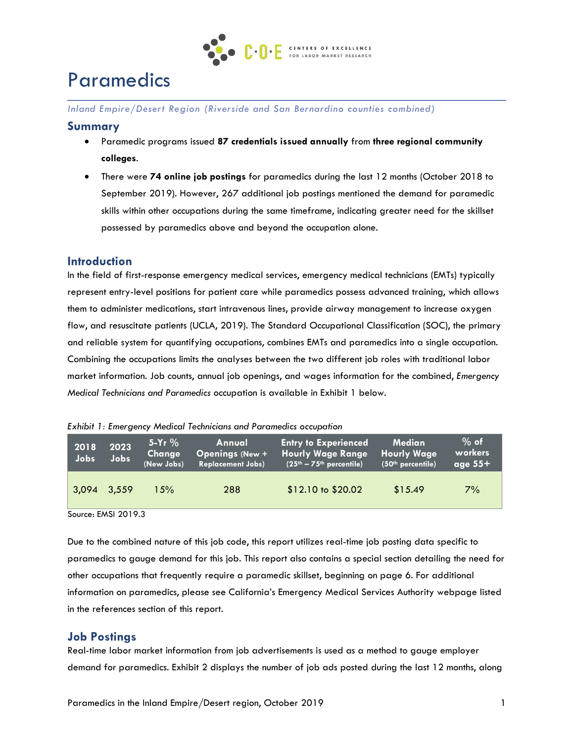

# Paramedics

*Inland Empire/Desert Region (Riverside and San Bernardino counties combined)* 

#### **Summary**

- Paramedic programs issued **87 credentials issued annually** from **three regional community colleges**.
- There were **74 online job postings** for paramedics during the last 12 months (October 2018 to September 2019). However, 267 additional job postings mentioned the demand for paramedic skills within other occupations during the same timeframe, indicating greater need for the skillset possessed by paramedics above and beyond the occupation alone.

## **Introduction**

In the field of first-response emergency medical services, emergency medical technicians (EMTs) typically represent entry-level positions for patient care while paramedics possess advanced training, which allows them to administer medications, start intravenous lines, provide airway management to increase oxygen flow, and resuscitate patients (UCLA, 2019). The Standard Occupational Classification (SOC), the primary and reliable system for quantifying occupations, combines EMTs and paramedics into a single occupation. Combining the occupations limits the analyses between the two different job roles with traditional labor market information. Job counts, annual job openings, and wages information for the combined, *Emergency Medical Technicians and Paramedics* occupation is available in Exhibit 1 below.

*Exhibit 1: Emergency Medical Technicians and Paramedics occupation*

| 2018<br>Jobs <sup>1</sup> | 2023<br>Jobs | $5-Yr$ %<br>Change<br>(New Jobs) | Annual<br><b>Openings (New +</b><br><b>Replacement Jobs)</b> | <b>Entry to Experienced</b><br><b>Hourly Wage Range</b><br>$(25th - 75th$ percentile) | <b>Median</b><br><b>Hourly Wage</b><br>(50 <sup>th</sup> percentile) | $%$ of<br>workers<br>age $55+$ |
|---------------------------|--------------|----------------------------------|--------------------------------------------------------------|---------------------------------------------------------------------------------------|----------------------------------------------------------------------|--------------------------------|
| 3.094                     | 3.559        | 15%                              | 288                                                          | $$12.10 \text{ to } $20.02$$                                                          | \$15.49                                                              | 7%                             |

Source: EMSI 2019.3

Due to the combined nature of this job code, this report utilizes real-time job posting data specific to paramedics to gauge demand for this job. This report also contains a special section detailing the need for other occupations that frequently require a paramedic skillset, beginning on page 6. For additional information on paramedics, please see California's Emergency Medical Services Authority webpage listed in the references section of this report.

#### **Job Postings**

Real-time labor market information from job advertisements is used as a method to gauge employer demand for paramedics. Exhibit 2 displays the number of job ads posted during the last 12 months, along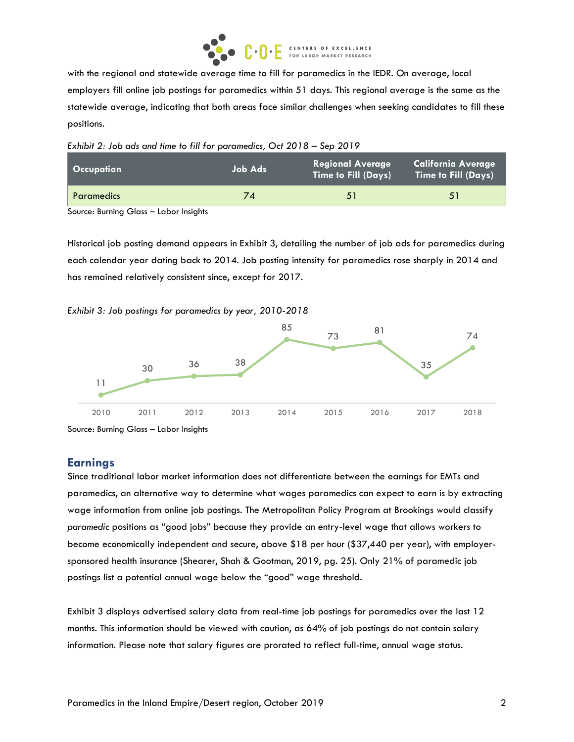

with the regional and statewide average time to fill for paramedics in the IEDR. On average, local employers fill online job postings for paramedics within 51 days. This regional average is the same as the statewide average, indicating that both areas face similar challenges when seeking candidates to fill these positions.

*Exhibit 2: Job ads and time to fill for paramedics, Oct 2018 – Sep 2019* 

| <b>Occupation</b> | Job Ads | <b>Regional Average</b><br>Time to Fill (Days) | <b>California Average</b><br><b>Time to Fill (Days)</b> |
|-------------------|---------|------------------------------------------------|---------------------------------------------------------|
| <b>Paramedics</b> | 74      | 51                                             | 51                                                      |

Source: Burning Glass – Labor Insights

Historical job posting demand appears in Exhibit 3, detailing the number of job ads for paramedics during each calendar year dating back to 2014. Job posting intensity for paramedics rose sharply in 2014 and has remained relatively consistent since, except for 2017.

#### *Exhibit 3: Job postings for paramedics by year, 2010-2018*



Source: Burning Glass – Labor Insights

## **Earnings**

Since traditional labor market information does not differentiate between the earnings for EMTs and paramedics, an alternative way to determine what wages paramedics can expect to earn is by extracting wage information from online job postings. The Metropolitan Policy Program at Brookings would classify *paramedic* positions as "good jobs" because they provide an entry-level wage that allows workers to become economically independent and secure, above \$18 per hour (\$37,440 per year), with employersponsored health insurance (Shearer, Shah & Gootman, 2019, pg. 25). Only 21% of paramedic job postings list a potential annual wage below the "good" wage threshold.

Exhibit 3 displays advertised salary data from real-time job postings for paramedics over the last 12 months. This information should be viewed with caution, as 64% of job postings do not contain salary information. Please note that salary figures are prorated to reflect full-time, annual wage status.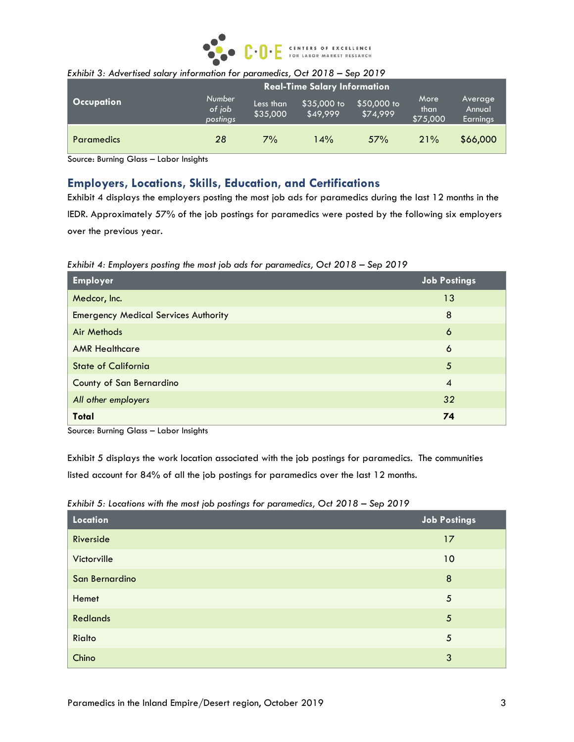

|                                     | LATING 3. Advertised suidily information for parametrics, Oct 2010 - Jep 2017 |                                     |                       |                         |                         |                          |                               |
|-------------------------------------|-------------------------------------------------------------------------------|-------------------------------------|-----------------------|-------------------------|-------------------------|--------------------------|-------------------------------|
| <b>Real-Time Salary Information</b> |                                                                               |                                     |                       |                         |                         |                          |                               |
|                                     | <b>Occupation</b>                                                             | <b>Number</b><br>of job<br>postings | Less than<br>\$35,000 | \$35,000 to<br>\$49.999 | \$50,000 to<br>\$74,999 | More<br>than<br>\$75,000 | Average<br>Annual<br>Earnings |
|                                     | <b>Paramedics</b>                                                             | 28                                  | 7%                    | 14%                     | 57%                     | 21%                      | \$66,000                      |

#### *Exhibit 3: Advertised salary information for paramedics, Oct 2018 – Sep 2019*

Source: Burning Glass – Labor Insights

## **Employers, Locations, Skills, Education, and Certifications**

Exhibit 4 displays the employers posting the most job ads for paramedics during the last 12 months in the IEDR. Approximately 57% of the job postings for paramedics were posted by the following six employers over the previous year.

*Exhibit 4: Employers posting the most job ads for paramedics, Oct 2018 – Sep 2019*

| <b>Employer</b>                             | <b>Job Postings</b> |
|---------------------------------------------|---------------------|
| Medcor, Inc.                                | 13                  |
| <b>Emergency Medical Services Authority</b> | 8                   |
| Air Methods                                 | 6                   |
| <b>AMR Healthcare</b>                       | 6                   |
| <b>State of California</b>                  | 5                   |
| County of San Bernardino                    | $\overline{4}$      |
| All other employers                         | 32                  |
| <b>Total</b>                                | 74                  |

Source: Burning Glass – Labor Insights

Exhibit 5 displays the work location associated with the job postings for paramedics. The communities listed account for 84% of all the job postings for paramedics over the last 12 months.

| Location        | Job Postings |
|-----------------|--------------|
| Riverside       | 17           |
| Victorville     | 10           |
| San Bernardino  | 8            |
| Hemet           | 5            |
| <b>Redlands</b> | $\sqrt{5}$   |
| Rialto          | 5            |
| Chino           | 3            |

*Exhibit 5: Locations with the most job postings for paramedics, Oct 2018 - Sep 2019*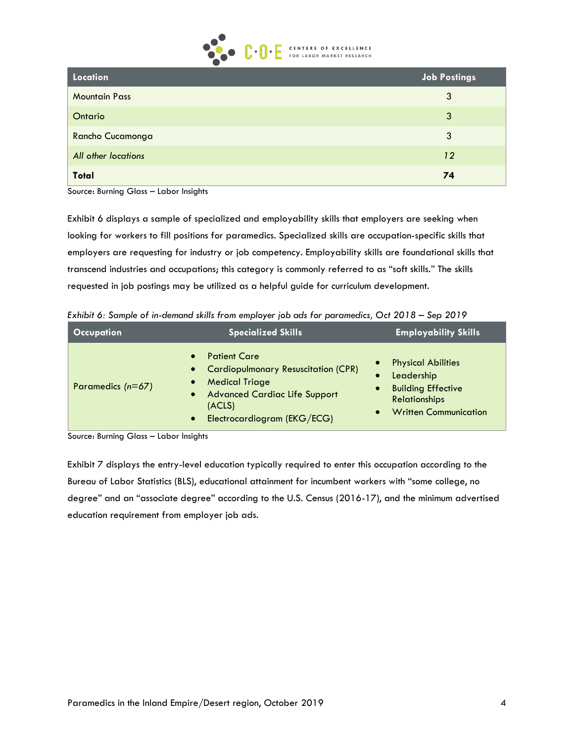

| Location             | Job Postings |
|----------------------|--------------|
| <b>Mountain Pass</b> | 3            |
| Ontario              | 3            |
| Rancho Cucamonga     | 3            |
| All other locations  | 12           |
| <b>Total</b>         | 74           |

Source: Burning Glass – Labor Insights

Exhibit 6 displays a sample of specialized and employability skills that employers are seeking when looking for workers to fill positions for paramedics. Specialized skills are occupation-specific skills that employers are requesting for industry or job competency. Employability skills are foundational skills that transcend industries and occupations; this category is commonly referred to as "soft skills." The skills requested in job postings may be utilized as a helpful guide for curriculum development.

*Exhibit 6: Sample of in-demand skills from employer job ads for paramedics, Oct 2018 – Sep 2019*

| <b>Occupation</b>   | <b>Specialized Skills</b>                                                                                                                                                                                                  | Employability S <u>kills</u>                                                                                                 |
|---------------------|----------------------------------------------------------------------------------------------------------------------------------------------------------------------------------------------------------------------------|------------------------------------------------------------------------------------------------------------------------------|
| Paramedics $(n=67)$ | <b>Patient Care</b><br>$\bullet$<br>• Cardiopulmonary Resuscitation (CPR)<br><b>Medical Triage</b><br>$\bullet$<br><b>Advanced Cardiac Life Support</b><br>$\bullet$<br>(ACLS)<br>Electrocardiogram (EKG/ECG)<br>$\bullet$ | <b>Physical Abilities</b><br>Leadership<br><b>Building Effective</b><br><b>Relationships</b><br><b>Written Communication</b> |

Source: Burning Glass – Labor Insights

Exhibit 7 displays the entry-level education typically required to enter this occupation according to the Bureau of Labor Statistics (BLS), educational attainment for incumbent workers with "some college, no degree" and an "associate degree" according to the U.S. Census (2016-17), and the minimum advertised education requirement from employer job ads.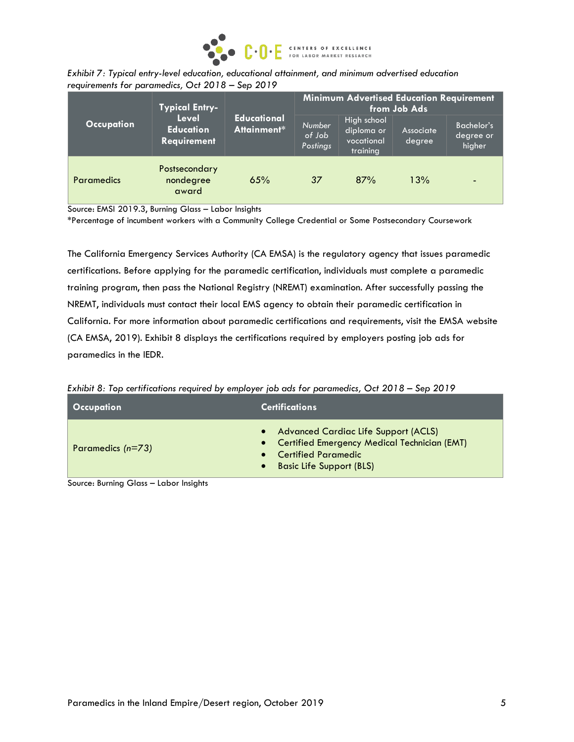

|                                                  | Exhibit 7: Typical entry-level education, educational attainment, and minimum advertised education |
|--------------------------------------------------|----------------------------------------------------------------------------------------------------|
| requirements for paramedics, Oct 2018 – Sep 2019 |                                                                                                    |

|                   | <b>Typical Entry-</b>                           |             | <b>Minimum Advertised Education Requirement</b><br>from Job Ads |                                                     |                     |                                   |
|-------------------|-------------------------------------------------|-------------|-----------------------------------------------------------------|-----------------------------------------------------|---------------------|-----------------------------------|
| <b>Occupation</b> | Level<br><b>Education</b><br><b>Requirement</b> | Attainment* | <b>Educational</b><br>Number<br>of Job<br>Postings              | High school<br>diploma or<br>vocational<br>training | Associate<br>degree | Bachelor's<br>degree or<br>higher |
| <b>Paramedics</b> | Postsecondary<br>nondegree<br>award             | 65%         | 37                                                              | 87%                                                 | 13%                 |                                   |

Source: EMSI 2019.3, Burning Glass – Labor Insights

\*Percentage of incumbent workers with a Community College Credential or Some Postsecondary Coursework

The California Emergency Services Authority (CA EMSA) is the regulatory agency that issues paramedic certifications. Before applying for the paramedic certification, individuals must complete a paramedic training program, then pass the National Registry (NREMT) examination. After successfully passing the NREMT, individuals must contact their local EMS agency to obtain their paramedic certification in California. For more information about paramedic certifications and requirements, visit the EMSA website (CA EMSA, 2019). Exhibit 8 displays the certifications required by employers posting job ads for paramedics in the IEDR.

*Exhibit 8: Top certifications required by employer job ads for paramedics, Oct 2018 – Sep 2019*

| Occupation          | <b>Certifications</b>                                                                                                                                             |
|---------------------|-------------------------------------------------------------------------------------------------------------------------------------------------------------------|
| Paramedics $(n=73)$ | • Advanced Cardiac Life Support (ACLS)<br>• Certified Emergency Medical Technician (EMT)<br>• Certified Paramedic<br><b>Basic Life Support (BLS)</b><br>$\bullet$ |

Source: Burning Glass – Labor Insights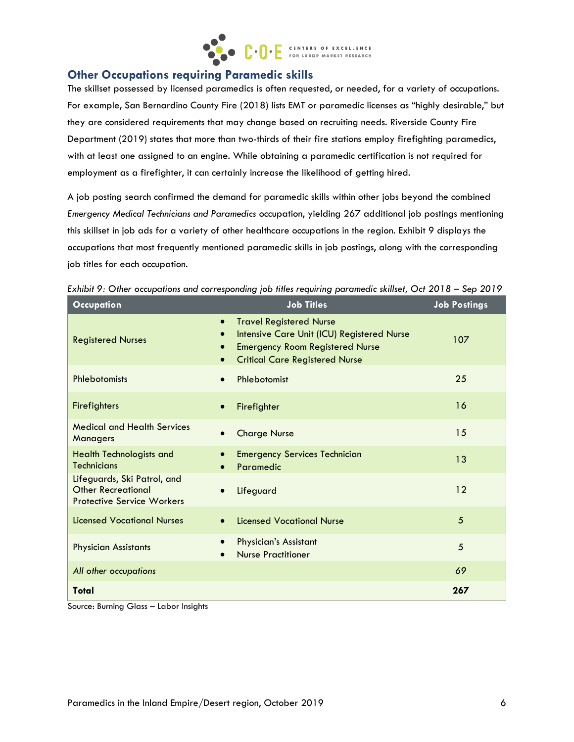

## **Other Occupations requiring Paramedic skills**

The skillset possessed by licensed paramedics is often requested, or needed, for a variety of occupations. For example, San Bernardino County Fire (2018) lists EMT or paramedic licenses as "highly desirable," but they are considered requirements that may change based on recruiting needs. Riverside County Fire Department (2019) states that more than two-thirds of their fire stations employ firefighting paramedics, with at least one assigned to an engine. While obtaining a paramedic certification is not required for employment as a firefighter, it can certainly increase the likelihood of getting hired.

A job posting search confirmed the demand for paramedic skills within other jobs beyond the combined *Emergency Medical Technicians and Paramedics* occupation, yielding 267 additional job postings mentioning this skillset in job ads for a variety of other healthcare occupations in the region. Exhibit 9 displays the occupations that most frequently mentioned paramedic skills in job postings, along with the corresponding job titles for each occupation.

| <b>Occupation</b>                                                                             | <b>Job Titles</b>                                                                                                                                                                                      | <b>Job Postings</b> |
|-----------------------------------------------------------------------------------------------|--------------------------------------------------------------------------------------------------------------------------------------------------------------------------------------------------------|---------------------|
| <b>Registered Nurses</b>                                                                      | <b>Travel Registered Nurse</b><br>$\bullet$<br>Intensive Care Unit (ICU) Registered Nurse<br>$\bullet$<br><b>Emergency Room Registered Nurse</b><br>$\bullet$<br><b>Critical Care Registered Nurse</b> | 107                 |
| Phlebotomists                                                                                 | Phlebotomist<br>$\bullet$                                                                                                                                                                              | 25                  |
| <b>Firefighters</b>                                                                           | Firefighter<br>$\bullet$                                                                                                                                                                               | 16                  |
| <b>Medical and Health Services</b><br>Managers                                                | <b>Charge Nurse</b>                                                                                                                                                                                    | 15                  |
| <b>Health Technologists and</b><br><b>Technicians</b>                                         | <b>Emergency Services Technician</b><br>Paramedic<br>$\bullet$                                                                                                                                         | 13                  |
| Lifeguards, Ski Patrol, and<br><b>Other Recreational</b><br><b>Protective Service Workers</b> | Lifeguard<br>$\bullet$                                                                                                                                                                                 | 12                  |
| <b>Licensed Vocational Nurses</b>                                                             | <b>Licensed Vocational Nurse</b><br>$\bullet$                                                                                                                                                          | 5                   |
| <b>Physician Assistants</b>                                                                   | <b>Physician's Assistant</b><br>$\bullet$<br><b>Nurse Practitioner</b>                                                                                                                                 | 5                   |
| All other occupations                                                                         |                                                                                                                                                                                                        | 69                  |
| Total                                                                                         |                                                                                                                                                                                                        | 267                 |

| Exhibit 9: Other occupations and corresponding job titles requiring paramedic skillset, Oct 2018 - Sep 2019 |  |  |  |  |
|-------------------------------------------------------------------------------------------------------------|--|--|--|--|
|-------------------------------------------------------------------------------------------------------------|--|--|--|--|

Source: Burning Glass – Labor Insights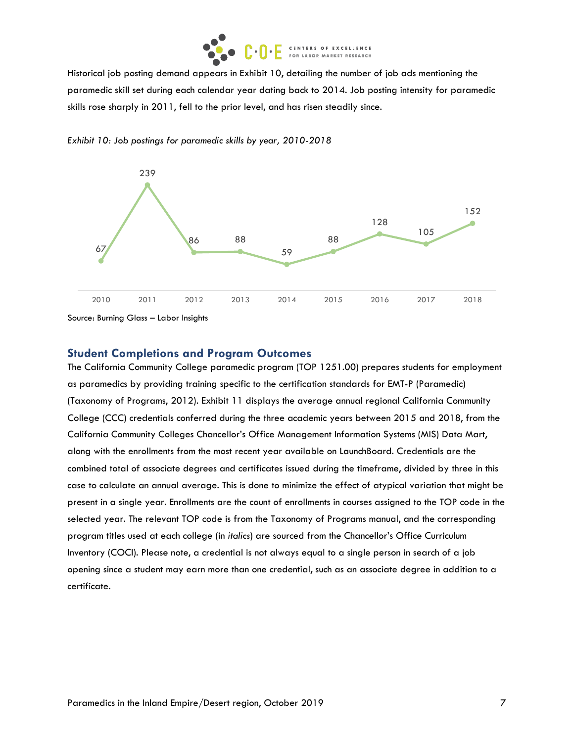

Historical job posting demand appears in Exhibit 10, detailing the number of job ads mentioning the paramedic skill set during each calendar year dating back to 2014. Job posting intensity for paramedic skills rose sharply in 2011, fell to the prior level, and has risen steadily since.





Source: Burning Glass – Labor Insights

#### **Student Completions and Program Outcomes**

The California Community College paramedic program (TOP 1251.00) prepares students for employment as paramedics by providing training specific to the certification standards for EMT-P (Paramedic) (Taxonomy of Programs, 2012). Exhibit 11 displays the average annual regional California Community College (CCC) credentials conferred during the three academic years between 2015 and 2018, from the California Community Colleges Chancellor's Office Management Information Systems (MIS) Data Mart, along with the enrollments from the most recent year available on LaunchBoard. Credentials are the combined total of associate degrees and certificates issued during the timeframe, divided by three in this case to calculate an annual average. This is done to minimize the effect of atypical variation that might be present in a single year. Enrollments are the count of enrollments in courses assigned to the TOP code in the selected year. The relevant TOP code is from the Taxonomy of Programs manual, and the corresponding program titles used at each college (in *italics*) are sourced from the Chancellor's Office Curriculum Inventory (COCI). Please note, a credential is not always equal to a single person in search of a job opening since a student may earn more than one credential, such as an associate degree in addition to a certificate.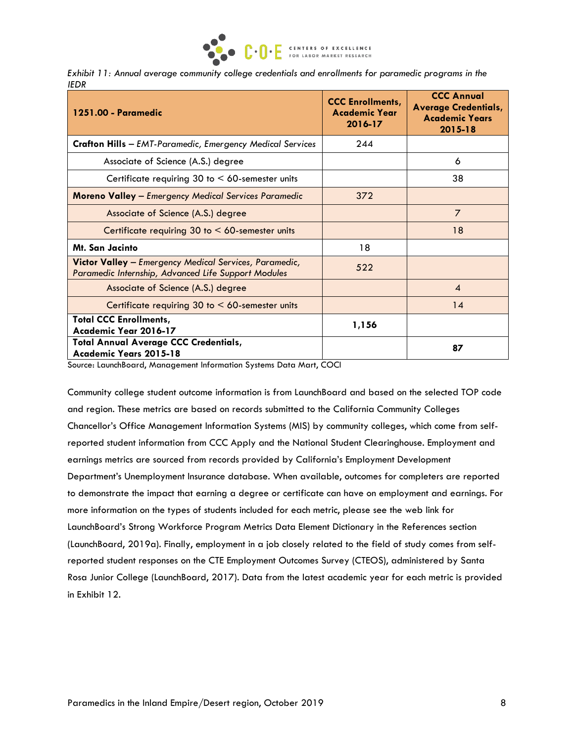

|             |  |  | Exhibit 11: Annual average community college credentials and enrollments for paramedic programs in the |  |
|-------------|--|--|--------------------------------------------------------------------------------------------------------|--|
| <b>IEDR</b> |  |  |                                                                                                        |  |

| 1251.00 - Paramedic                                                                                                                                                                                 | <b>CCC Enrollments,</b><br><b>Academic Year</b><br>2016-17 | <b>CCC Annual</b><br><b>Average Credentials,</b><br><b>Academic Years</b><br>$2015 - 18$ |
|-----------------------------------------------------------------------------------------------------------------------------------------------------------------------------------------------------|------------------------------------------------------------|------------------------------------------------------------------------------------------|
| <b>Crafton Hills</b> - EMT-Paramedic, Emergency Medical Services                                                                                                                                    | 244                                                        |                                                                                          |
| Associate of Science (A.S.) degree                                                                                                                                                                  |                                                            | 6                                                                                        |
| Certificate requiring 30 to $<$ 60-semester units                                                                                                                                                   |                                                            | 38                                                                                       |
| <b>Moreno Valley - Emergency Medical Services Paramedic</b>                                                                                                                                         | 372                                                        |                                                                                          |
| Associate of Science (A.S.) degree                                                                                                                                                                  |                                                            | $\overline{7}$                                                                           |
| Certificate requiring 30 to $<$ 60-semester units                                                                                                                                                   |                                                            | 18                                                                                       |
| Mt. San Jacinto                                                                                                                                                                                     | 18                                                         |                                                                                          |
| Victor Valley - Emergency Medical Services, Paramedic,<br>Paramedic Internship, Advanced Life Support Modules                                                                                       | 522                                                        |                                                                                          |
| Associate of Science (A.S.) degree                                                                                                                                                                  |                                                            | $\boldsymbol{A}$                                                                         |
| Certificate requiring $30$ to $\leq 60$ -semester units                                                                                                                                             |                                                            | 14                                                                                       |
| <b>Total CCC Enrollments,</b><br>Academic Year 2016-17                                                                                                                                              | 1,156                                                      |                                                                                          |
| <b>Total Annual Average CCC Credentials,</b><br>Academic Years 2015-18<br>$\sim$<br>the contract of the contract of the contract of the contract of the contract of the contract of the contract of | $\sim$ $\sim$ $\sim$                                       | 87                                                                                       |

Source: LaunchBoard, Management Information Systems Data Mart, COCI

Community college student outcome information is from LaunchBoard and based on the selected TOP code and region. These metrics are based on records submitted to the California Community Colleges Chancellor's Office Management Information Systems (MIS) by community colleges, which come from selfreported student information from CCC Apply and the National Student Clearinghouse. Employment and earnings metrics are sourced from records provided by California's Employment Development Department's Unemployment Insurance database. When available, outcomes for completers are reported to demonstrate the impact that earning a degree or certificate can have on employment and earnings. For more information on the types of students included for each metric, please see the web link for LaunchBoard's Strong Workforce Program Metrics Data Element Dictionary in the References section (LaunchBoard, 2019a). Finally, employment in a job closely related to the field of study comes from selfreported student responses on the CTE Employment Outcomes Survey (CTEOS), administered by Santa Rosa Junior College (LaunchBoard, 2017). Data from the latest academic year for each metric is provided in Exhibit 12.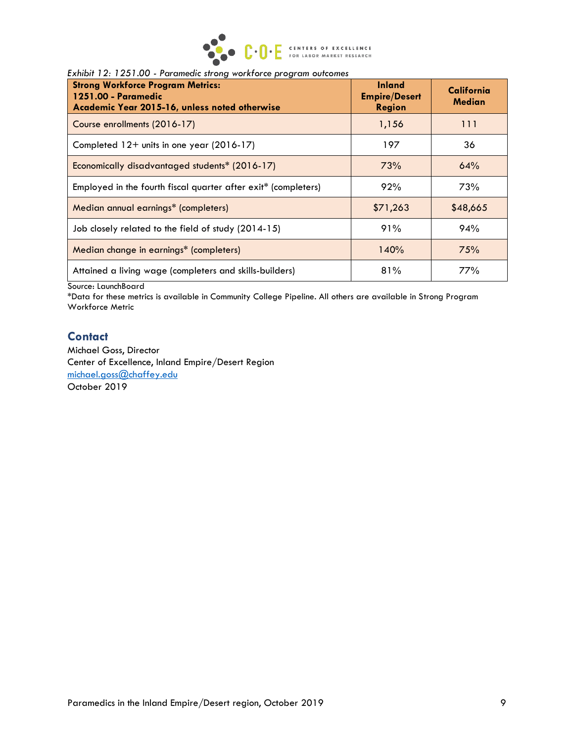

#### *Exhibit 12: 1251.00 - Paramedic strong workforce program outcomes*

| <b>Strong Workforce Program Metrics:</b><br>1251.00 - Paramedic<br>Academic Year 2015-16, unless noted otherwise | <b>Inland</b><br><b>Empire/Desert</b><br><b>Region</b> | California<br>Median |
|------------------------------------------------------------------------------------------------------------------|--------------------------------------------------------|----------------------|
| Course enrollments (2016-17)                                                                                     | 1,156                                                  | 111                  |
| Completed 12+ units in one year (2016-17)                                                                        | 197                                                    | 36                   |
| Economically disadvantaged students* (2016-17)                                                                   | 73%                                                    | 64%                  |
| Employed in the fourth fiscal quarter after exit* (completers)                                                   | 92%                                                    | 73%                  |
| Median annual earnings* (completers)                                                                             | \$71,263                                               | \$48,665             |
| Job closely related to the field of study (2014-15)                                                              | 91%                                                    | 94%                  |
| Median change in earnings* (completers)                                                                          | 140%                                                   | 75%                  |
| Attained a living wage (completers and skills-builders)                                                          | 81%                                                    | 77%                  |

Source: LaunchBoard

\*Data for these metrics is available in Community College Pipeline. All others are available in Strong Program Workforce Metric

#### **Contact**

Michael Goss, Director Center of Excellence, Inland Empire/Desert Region [michael.goss@chaffey.edu](mailto:michael.goss@chaffey.edu) October 2019